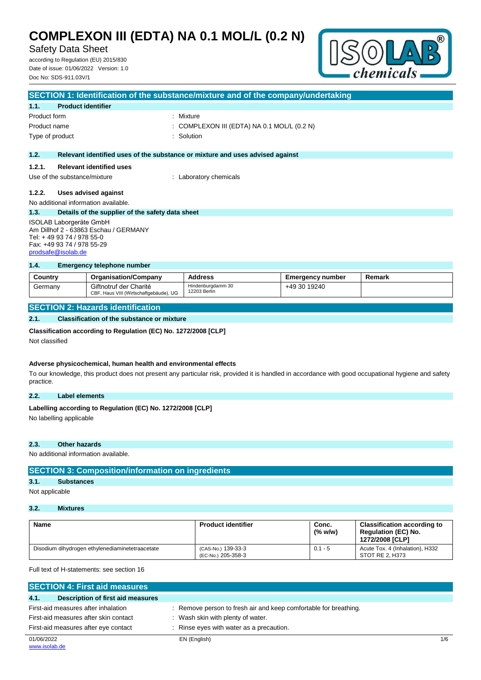# Safety Data Sheet

according to Regulation (EU) 2015/830 Date of issue: 01/06/2022 Version: 1.0 Doc No: SDS-911.03V/1



|                                                                                                                                                   |                                                  | SECTION 1: Identification of the substance/mixture and of the company/undertaking |
|---------------------------------------------------------------------------------------------------------------------------------------------------|--------------------------------------------------|-----------------------------------------------------------------------------------|
| 1.1.                                                                                                                                              | <b>Product identifier</b>                        |                                                                                   |
| Product form                                                                                                                                      |                                                  | : Mixture                                                                         |
| Product name                                                                                                                                      |                                                  | : COMPLEXON III (EDTA) NA 0.1 MOL/L (0.2 N)                                       |
| Type of product                                                                                                                                   |                                                  | Solution                                                                          |
| 1.2.                                                                                                                                              |                                                  | Relevant identified uses of the substance or mixture and uses advised against     |
| 1.2.1.                                                                                                                                            | <b>Relevant identified uses</b>                  |                                                                                   |
|                                                                                                                                                   | Use of the substance/mixture                     | : Laboratory chemicals                                                            |
| 1.2.2.                                                                                                                                            | Uses advised against                             |                                                                                   |
|                                                                                                                                                   | No additional information available.             |                                                                                   |
| 1.3.                                                                                                                                              | Details of the supplier of the safety data sheet |                                                                                   |
| ISOLAB Laborgeräte GmbH<br>Am Dillhof 2 - 63863 Eschau / GERMANY<br>Tel: +49 93 74 / 978 55-0<br>Fax: +49 93 74 / 978 55-29<br>prodsafe@isolab.de |                                                  |                                                                                   |
| 1.4.                                                                                                                                              | Emergency telephone number                       |                                                                                   |

| Country                           | <b>Organisation/Company</b>                                      | <b>Address</b>                    | <b>Emergency number</b> | Remark |
|-----------------------------------|------------------------------------------------------------------|-----------------------------------|-------------------------|--------|
| Germany                           | Giftnotruf der Charité<br>CBF, Haus VIII (Wirtschaftgebäude), UG | Hindenburgdamm 30<br>12203 Berlin | +49 30 19240            |        |
| CECTION 2. Hazarde idantification |                                                                  |                                   |                         |        |

## **SECTION 2: Hazards identification**

**2.1. Classification of the substance or mixture**

## **Classification according to Regulation (EC) No. 1272/2008 [CLP]**

Not classified

#### **Adverse physicochemical, human health and environmental effects**

To our knowledge, this product does not present any particular risk, provided it is handled in accordance with good occupational hygiene and safety practice.

## **2.2. Label elements**

## Labelling according to Regulation (EC) No. 1272/2008 [CLP]

No labelling applicable

#### **2.3. Other hazards**

No additional information available.

# **SECTION 3: Composition/information on ingredients**

# **3.1. Substances**

Not applicable

# **3.2. Mixtures**

| <b>Name</b>                                     | <b>Product identifier</b>                | Conc.<br>(% w/w) | <b>Classification according to</b><br><b>Regulation (EC) No.</b><br>1272/2008 [CLP] |
|-------------------------------------------------|------------------------------------------|------------------|-------------------------------------------------------------------------------------|
| Disodium dihydrogen ethylenediaminetetraacetate | (CAS-No.) 139-33-3<br>(EC-No.) 205-358-3 | $0.1 - 5$        | Acute Tox. 4 (Inhalation), H332<br>STOT RE 2. H373                                  |

Full text of H-statements: see section 16

| <b>SECTION 4: First aid measures</b>      |                                                                  |     |
|-------------------------------------------|------------------------------------------------------------------|-----|
| 4.1.<br>Description of first aid measures |                                                                  |     |
| First-aid measures after inhalation       | : Remove person to fresh air and keep comfortable for breathing. |     |
| First-aid measures after skin contact     | Wash skin with plenty of water.                                  |     |
| First-aid measures after eye contact      | Rinse eyes with water as a precaution.                           |     |
| 01/06/2022                                | EN (English)                                                     | 1/6 |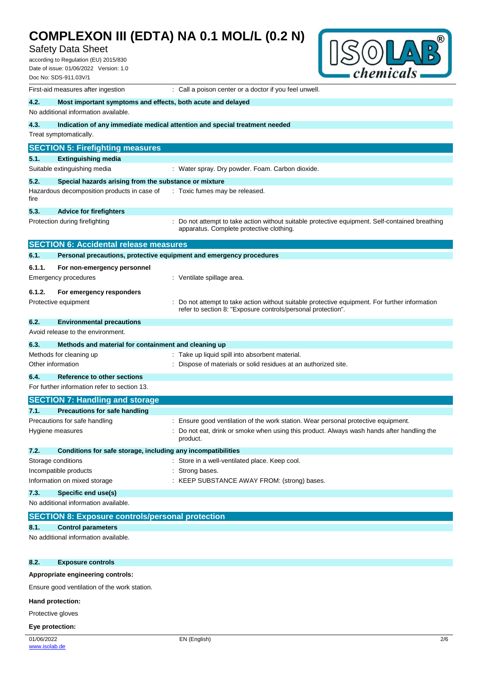# Safety Data Sheet

according to Regulation (EU) 2015/830 Date of issue: 01/06/2022 Version: 1.0 Doc No: SDS-911.03V/1



|                   | First-aid measures after ingestion                                  | : Call a poison center or a doctor if you feel unwell.                                                                                    |  |  |
|-------------------|---------------------------------------------------------------------|-------------------------------------------------------------------------------------------------------------------------------------------|--|--|
| 4.2.              | Most important symptoms and effects, both acute and delayed         |                                                                                                                                           |  |  |
|                   | No additional information available.                                |                                                                                                                                           |  |  |
| 4.3.              |                                                                     | Indication of any immediate medical attention and special treatment needed                                                                |  |  |
|                   | Treat symptomatically.                                              |                                                                                                                                           |  |  |
|                   | <b>SECTION 5: Firefighting measures</b>                             |                                                                                                                                           |  |  |
| 5.1.              | <b>Extinguishing media</b>                                          |                                                                                                                                           |  |  |
|                   | Suitable extinguishing media                                        | : Water spray. Dry powder. Foam. Carbon dioxide.                                                                                          |  |  |
| 5.2.              | Special hazards arising from the substance or mixture               |                                                                                                                                           |  |  |
| fire              | Hazardous decomposition products in case of                         | : Toxic fumes may be released.                                                                                                            |  |  |
| 5.3.              | <b>Advice for firefighters</b>                                      |                                                                                                                                           |  |  |
|                   | Protection during firefighting                                      | Do not attempt to take action without suitable protective equipment. Self-contained breathing<br>apparatus. Complete protective clothing. |  |  |
|                   | <b>SECTION 6: Accidental release measures</b>                       |                                                                                                                                           |  |  |
| 6.1.              | Personal precautions, protective equipment and emergency procedures |                                                                                                                                           |  |  |
| 6.1.1.            | For non-emergency personnel                                         |                                                                                                                                           |  |  |
|                   | Emergency procedures                                                | : Ventilate spillage area.                                                                                                                |  |  |
| 6.1.2.            | For emergency responders                                            |                                                                                                                                           |  |  |
|                   | Protective equipment                                                | Do not attempt to take action without suitable protective equipment. For further information                                              |  |  |
|                   |                                                                     | refer to section 8: "Exposure controls/personal protection".                                                                              |  |  |
| 6.2.              | <b>Environmental precautions</b>                                    |                                                                                                                                           |  |  |
|                   | Avoid release to the environment.                                   |                                                                                                                                           |  |  |
| 6.3.              | Methods and material for containment and cleaning up                |                                                                                                                                           |  |  |
|                   | Methods for cleaning up                                             | Take up liquid spill into absorbent material.                                                                                             |  |  |
| Other information |                                                                     | Dispose of materials or solid residues at an authorized site.                                                                             |  |  |
| 6.4.              | Reference to other sections                                         |                                                                                                                                           |  |  |
|                   | For further information refer to section 13.                        |                                                                                                                                           |  |  |
|                   | <b>SECTION 7: Handling and storage</b>                              |                                                                                                                                           |  |  |
| 7.1.              | <b>Precautions for safe handling</b>                                |                                                                                                                                           |  |  |
|                   | Precautions for safe handling                                       | : Ensure good ventilation of the work station. Wear personal protective equipment.                                                        |  |  |
|                   | Hygiene measures                                                    | Do not eat, drink or smoke when using this product. Always wash hands after handling the<br>product.                                      |  |  |
| 7.2.              | Conditions for safe storage, including any incompatibilities        |                                                                                                                                           |  |  |
|                   | Storage conditions                                                  | : Store in a well-ventilated place. Keep cool.                                                                                            |  |  |
|                   | Incompatible products                                               | Strong bases.                                                                                                                             |  |  |
|                   | Information on mixed storage                                        | : KEEP SUBSTANCE AWAY FROM: (strong) bases.                                                                                               |  |  |
| 7.3.              | Specific end use(s)                                                 |                                                                                                                                           |  |  |
|                   | No additional information available.                                |                                                                                                                                           |  |  |
|                   | <b>SECTION 8: Exposure controls/personal protection</b>             |                                                                                                                                           |  |  |
| 8.1.              | <b>Control parameters</b>                                           |                                                                                                                                           |  |  |
|                   | No additional information available.                                |                                                                                                                                           |  |  |

## **8.2. Exposure controls**

## **Appropriate engineering controls:**

Ensure good ventilation of the work station.

## **Hand protection:**

Protective gloves

#### **Eye protection:**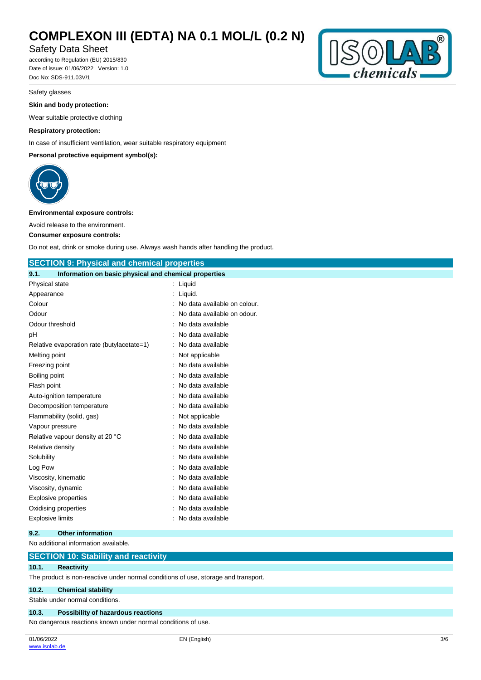# Safety Data Sheet

according to Regulation (EU) 2015/830 Date of issue: 01/06/2022 Version: 1.0 Doc No: SDS-911.03V/1



### **Skin and body protection:**

Wear suitable protective clothing

## **Respiratory protection:**

In case of insufficient ventilation, wear suitable respiratory equipment

### **Personal protective equipment symbol(s):**



#### **Environmental exposure controls:**

Avoid release to the environment.

#### **Consumer exposure controls:**

Do not eat, drink or smoke during use. Always wash hands after handling the product.

# **SECTION 9: Physical and chemical properties**

| 9.1.           | Information on basic physical and chemical properties |                              |
|----------------|-------------------------------------------------------|------------------------------|
| Physical state |                                                       | Liquid                       |
| Appearance     |                                                       | Liquid.                      |
| Colour         |                                                       | No data available on colour. |
| Odour          |                                                       | No data available on odour.  |
|                | Odour threshold                                       | No data available            |
| pH             |                                                       | No data available            |
|                | Relative evaporation rate (butylacetate=1)            | No data available            |
| Melting point  |                                                       | Not applicable               |
| Freezing point |                                                       | No data available            |
| Boiling point  |                                                       | No data available            |
| Flash point    |                                                       | No data available            |
|                | Auto-ignition temperature                             | No data available            |
|                | Decomposition temperature                             | No data available            |
|                | Flammability (solid, gas)                             | Not applicable               |
|                | Vapour pressure                                       | No data available            |
|                | Relative vapour density at 20 °C                      | No data available            |
|                | Relative density                                      | No data available            |
| Solubility     |                                                       | No data available            |
| Log Pow        |                                                       | No data available            |
|                | Viscosity, kinematic                                  | No data available            |
|                | Viscosity, dynamic                                    | No data available            |
|                | <b>Explosive properties</b>                           | No data available            |
|                | Oxidising properties                                  | No data available            |
|                | <b>Explosive limits</b>                               | No data available            |

#### **9.2. Other information**

No additional information available.

## **SECTION 10: Stability and reactivity**

## **10.1. Reactivity**

The product is non-reactive under normal conditions of use, storage and transport.

## **10.2. Chemical stability**

Stable under normal conditions.

#### **10.3. Possibility of hazardous reactions**

No dangerous reactions known under normal conditions of use.

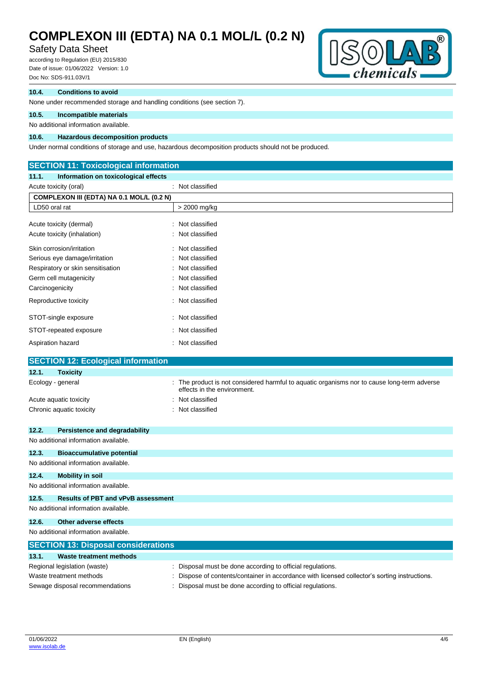# Safety Data Sheet

according to Regulation (EU) 2015/830 Date of issue: 01/06/2022 Version: 1.0 Doc No: SDS-911.03V/1



### **10.4. Conditions to avoid**

None under recommended storage and handling conditions (see section 7).

### **10.5. Incompatible materials**

#### No additional information available.

### **10.6. Hazardous decomposition products**

Under normal conditions of storage and use, hazardous decomposition products should not be produced.

# **SECTION 11: Toxicological information 11.1. Information on toxicological effects** Acute toxicity (oral) **interval** to the control of the control of the control of the control of the control of the control of the control of the control of the control of the control of the control of the control of the co **COMPLEXON III (EDTA) NA 0.1 MOL/L (0.2 N)** LD50 oral rat  $\vert$  > 2000 mg/kg Acute toxicity (dermal) : Not classified Acute toxicity (inhalation) : Not classified Skin corrosion/irritation : Not classified Serious eye damage/irritation : Not classified Respiratory or skin sensitisation : Not classified Germ cell mutagenicity **Second Contract Contract Contract Contract Contract Contract Contract Contract Contract Contract Contract Contract Contract Contract Contract Contract Contract Contract Contract Contract Contract Co** Carcinogenicity **Carcinogenicity** : Not classified Reproductive toxicity **in the contract of the CRS** in Not classified STOT-single exposure in the state of the state of the STOT-single exposure STOT-repeated exposure : Not classified Aspiration hazard **in the set of the set of the set of the set of the set of the set of the set of the set of the set of the set of the set of the set of the set of the set of the set of the set of the set of the set of th SECTION 12: Ecological information 12.1. Toxicity** Ecology - general **interproduct is not considered harmful to aquatic organisms nor to cause long-term adverse** effects in the environment. Acute aquatic toxicity **in the case of the Case of the Case of the Case of the Case of the Case of the Case of the Case of the Case of the Case of the Case of the Case of the Case of the Case of the Case of the Case of the** Chronic aquatic toxicity **Example 20** Chronic aquatic toxicity **12.2. Persistence and degradability** No additional information available. **12.3. Bioaccumulative potential** No additional information available. **12.4. Mobility in soil** No additional information available. **12.5. Results of PBT and vPvB assessment** No additional information available. **12.6. Other adverse effects** No additional information available. **SECTION 13: Disposal considerations 13.1. Waste treatment methods** Regional legislation (waste) : Disposal must be done according to official regulations. Waste treatment methods : Dispose of contents/container in accordance with licensed collector's sorting instructions.

Sewage disposal recommendations : Disposal must be done according to official regulations.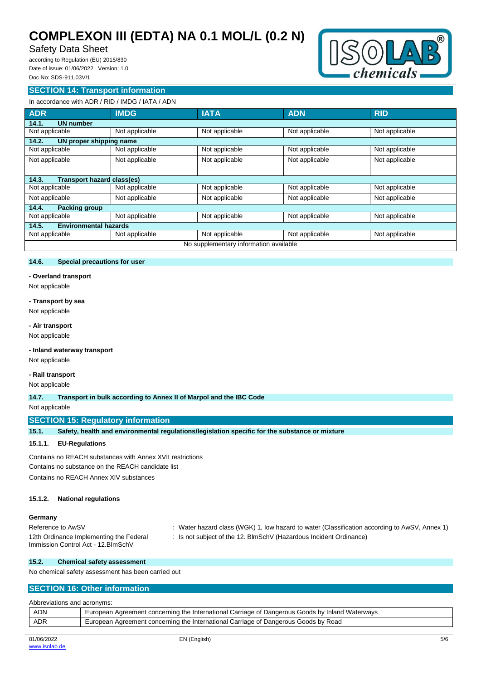# Safety Data Sheet

according to Regulation (EU) 2015/830 Date of issue: 01/06/2022 Version: 1.0 Doc No: SDS-911.03V/1



## **SECTION 14: Transport information**

# In accordance with ADR / RID / IMDG / IATA / ADN

| <b>ADR</b>                            | <b>IMDG</b>                            | <b>IATA</b>    | <b>ADN</b>     | <b>RID</b>     |  |
|---------------------------------------|----------------------------------------|----------------|----------------|----------------|--|
| <b>UN number</b><br>14.1.             |                                        |                |                |                |  |
| Not applicable                        | Not applicable                         | Not applicable | Not applicable | Not applicable |  |
| UN proper shipping name<br>14.2.      |                                        |                |                |                |  |
| Not applicable                        | Not applicable                         | Not applicable | Not applicable | Not applicable |  |
| Not applicable                        | Not applicable                         | Not applicable | Not applicable | Not applicable |  |
|                                       |                                        |                |                |                |  |
| 14.3.<br>Transport hazard class(es)   |                                        |                |                |                |  |
| Not applicable                        | Not applicable                         | Not applicable | Not applicable | Not applicable |  |
| Not applicable                        | Not applicable                         | Not applicable | Not applicable | Not applicable |  |
| <b>Packing group</b><br>14.4.         |                                        |                |                |                |  |
| Not applicable                        | Not applicable                         | Not applicable | Not applicable | Not applicable |  |
| <b>Environmental hazards</b><br>14.5. |                                        |                |                |                |  |
| Not applicable                        | Not applicable                         | Not applicable | Not applicable | Not applicable |  |
|                                       | No supplementary information available |                |                |                |  |

# **14.6. Special precautions for user**

**- Overland transport**

Not applicable

#### **- Transport by sea**

Not applicable

## **- Air transport**

Not applicable

## **- Inland waterway transport**

Not applicable

## **- Rail transport**

Not applicable

**14.7. Transport in bulk according to Annex II of Marpol and the IBC Code**

#### Not applicable

# **SECTION 15: Regulatory information**

**15.1. Safety, health and environmental regulations/legislation specific for the substance or mixture**

#### **15.1.1. EU-Regulations**

Contains no REACH substances with Annex XVII restrictions Contains no substance on the REACH candidate list

Contains no REACH Annex XIV substances

## **15.1.2. National regulations**

## **Germany**

| Reference to AwSV                       | Water hazard class (WGK) 1, low hazard to water (Classification according to AwSV, Annex 1) |
|-----------------------------------------|---------------------------------------------------------------------------------------------|
| 12th Ordinance Implementing the Federal | : Is not subject of the 12. BlmSchV (Hazardous Incident Ordinance)                          |
| Immission Control Act - 12. BlmSchV     |                                                                                             |

#### **15.2. Chemical safety assessment**

No chemical safety assessment has been carried out

## **SECTION 16: Other information**

Abbreviations and acronyms:

| <b>ADN</b> | European Agreement concerning the International Carriage of Dangerous Goods by Inland Waterways |  |  |
|------------|-------------------------------------------------------------------------------------------------|--|--|
| <b>ADR</b> | European Agreement concerning the International Carriage of Dangerous Goods by Road             |  |  |